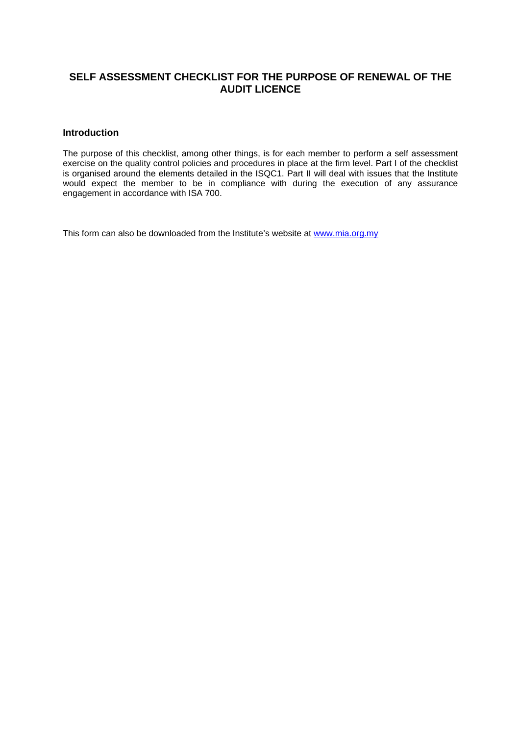# **SELF ASSESSMENT CHECKLIST FOR THE PURPOSE OF RENEWAL OF THE AUDIT LICENCE**

# **Introduction**

The purpose of this checklist, among other things, is for each member to perform a self assessment exercise on the quality control policies and procedures in place at the firm level. Part I of the checklist is organised around the elements detailed in the ISQC1. Part II will deal with issues that the Institute would expect the member to be in compliance with during the execution of any assurance engagement in accordance with ISA 700.

This form can also be downloaded from the Institute's website at [www.mia.org.my](http://www.mia.org.my/)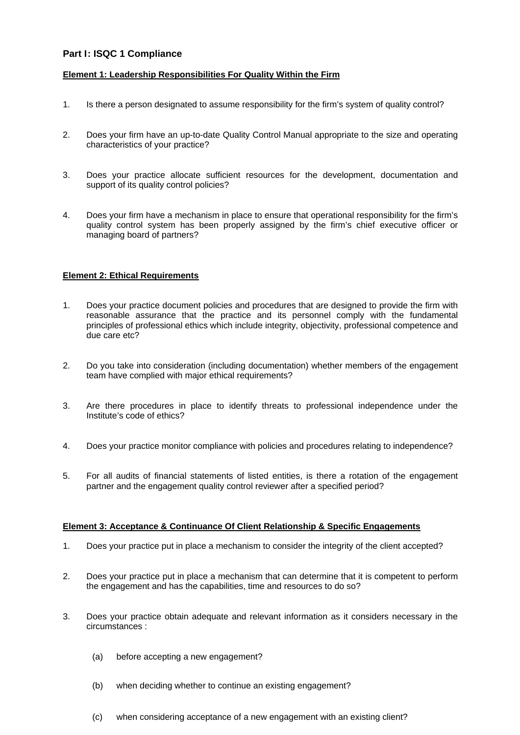# **Part I: ISQC 1 Compliance**

## **Element 1: Leadership Responsibilities For Quality Within the Firm**

- 1. Is there a person designated to assume responsibility for the firm's system of quality control?
- 2. Does your firm have an up-to-date Quality Control Manual appropriate to the size and operating characteristics of your practice?
- 3. Does your practice allocate sufficient resources for the development, documentation and support of its quality control policies?
- 4. Does your firm have a mechanism in place to ensure that operational responsibility for the firm's quality control system has been properly assigned by the firm's chief executive officer or managing board of partners?

### **Element 2: Ethical Requirements**

- 1. Does your practice document policies and procedures that are designed to provide the firm with reasonable assurance that the practice and its personnel comply with the fundamental principles of professional ethics which include integrity, objectivity, professional competence and due care etc?
- 2. Do you take into consideration (including documentation) whether members of the engagement team have complied with major ethical requirements?
- 3. Are there procedures in place to identify threats to professional independence under the Institute's code of ethics?
- 4. Does your practice monitor compliance with policies and procedures relating to independence?
- 5. For all audits of financial statements of listed entities, is there a rotation of the engagement partner and the engagement quality control reviewer after a specified period?

#### **Element 3: Acceptance & Continuance Of Client Relationship & Specific Engagements**

- 1. Does your practice put in place a mechanism to consider the integrity of the client accepted?
- 2. Does your practice put in place a mechanism that can determine that it is competent to perform the engagement and has the capabilities, time and resources to do so?
- 3. Does your practice obtain adequate and relevant information as it considers necessary in the circumstances :
	- (a) before accepting a new engagement?
	- (b) when deciding whether to continue an existing engagement?
	- (c) when considering acceptance of a new engagement with an existing client?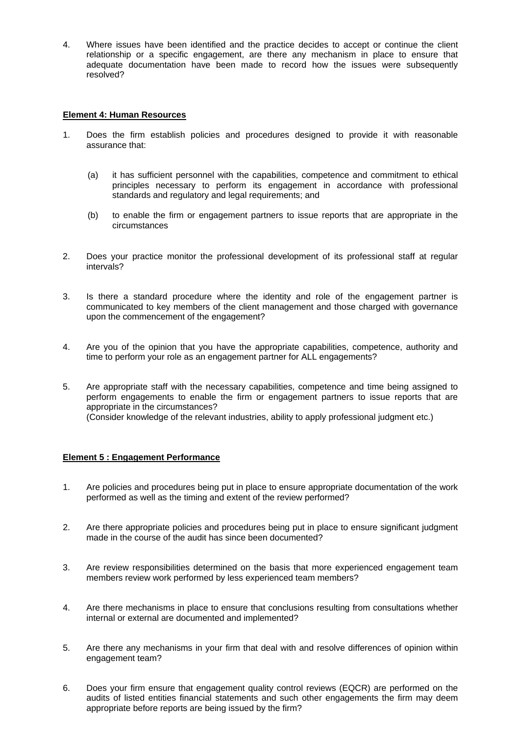4. Where issues have been identified and the practice decides to accept or continue the client relationship or a specific engagement, are there any mechanism in place to ensure that adequate documentation have been made to record how the issues were subsequently resolved?

### **Element 4: Human Resources**

- 1. Does the firm establish policies and procedures designed to provide it with reasonable assurance that:
	- (a) it has sufficient personnel with the capabilities, competence and commitment to ethical principles necessary to perform its engagement in accordance with professional standards and regulatory and legal requirements; and
	- (b) to enable the firm or engagement partners to issue reports that are appropriate in the circumstances
- 2. Does your practice monitor the professional development of its professional staff at regular intervals?
- 3. Is there a standard procedure where the identity and role of the engagement partner is communicated to key members of the client management and those charged with governance upon the commencement of the engagement?
- 4. Are you of the opinion that you have the appropriate capabilities, competence, authority and time to perform your role as an engagement partner for ALL engagements?
- 5. Are appropriate staff with the necessary capabilities, competence and time being assigned to perform engagements to enable the firm or engagement partners to issue reports that are appropriate in the circumstances? (Consider knowledge of the relevant industries, ability to apply professional judgment etc.)

# **Element 5 : Engagement Performance**

- 1. Are policies and procedures being put in place to ensure appropriate documentation of the work performed as well as the timing and extent of the review performed?
- 2. Are there appropriate policies and procedures being put in place to ensure significant judgment made in the course of the audit has since been documented?
- 3. Are review responsibilities determined on the basis that more experienced engagement team members review work performed by less experienced team members?
- 4. Are there mechanisms in place to ensure that conclusions resulting from consultations whether internal or external are documented and implemented?
- 5. Are there any mechanisms in your firm that deal with and resolve differences of opinion within engagement team?
- 6. Does your firm ensure that engagement quality control reviews (EQCR) are performed on the audits of listed entities financial statements and such other engagements the firm may deem appropriate before reports are being issued by the firm?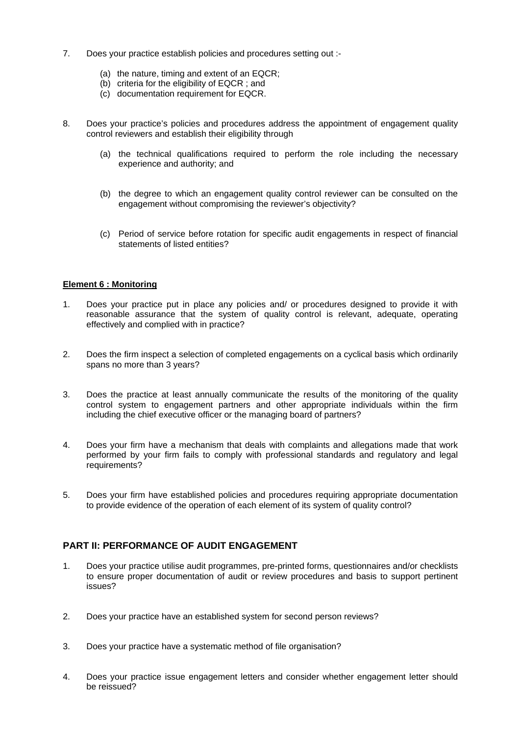- 7. Does your practice establish policies and procedures setting out :-
	- (a) the nature, timing and extent of an EQCR;
	- (b) criteria for the eligibility of EQCR ; and
	- (c) documentation requirement for EQCR.
- 8. Does your practice's policies and procedures address the appointment of engagement quality control reviewers and establish their eligibility through
	- (a) the technical qualifications required to perform the role including the necessary experience and authority; and
	- (b) the degree to which an engagement quality control reviewer can be consulted on the engagement without compromising the reviewer's objectivity?
	- (c) Period of service before rotation for specific audit engagements in respect of financial statements of listed entities?

### **Element 6 : Monitoring**

- 1. Does your practice put in place any policies and/ or procedures designed to provide it with reasonable assurance that the system of quality control is relevant, adequate, operating effectively and complied with in practice?
- 2. Does the firm inspect a selection of completed engagements on a cyclical basis which ordinarily spans no more than 3 years?
- 3. Does the practice at least annually communicate the results of the monitoring of the quality control system to engagement partners and other appropriate individuals within the firm including the chief executive officer or the managing board of partners?
- 4. Does your firm have a mechanism that deals with complaints and allegations made that work performed by your firm fails to comply with professional standards and regulatory and legal requirements?
- 5. Does your firm have established policies and procedures requiring appropriate documentation to provide evidence of the operation of each element of its system of quality control?

# **PART II: PERFORMANCE OF AUDIT ENGAGEMENT**

- 1. Does your practice utilise audit programmes, pre-printed forms, questionnaires and/or checklists to ensure proper documentation of audit or review procedures and basis to support pertinent issues?
- 2. Does your practice have an established system for second person reviews?
- 3. Does your practice have a systematic method of file organisation?
- 4. Does your practice issue engagement letters and consider whether engagement letter should be reissued?